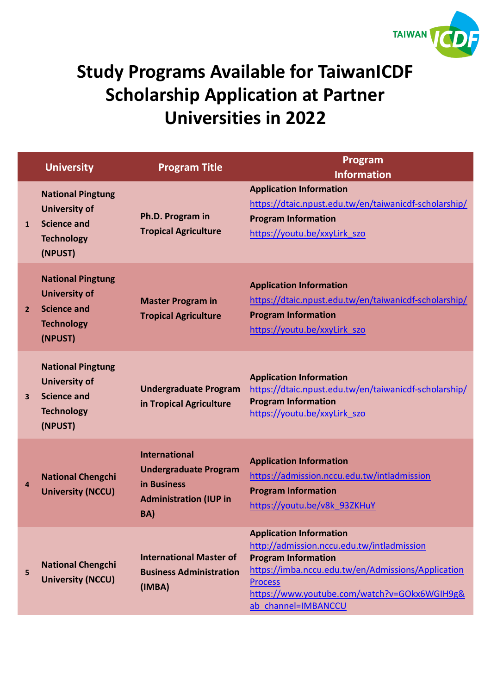

## **Study Programs Available for TaiwanICDF Scholarship Application at Partner Universities in 2022**

|                         | <b>University</b>                                                                                      | <b>Program Title</b>                                                                                        | Program<br><b>Information</b>                                                                                                                                                                                                                             |
|-------------------------|--------------------------------------------------------------------------------------------------------|-------------------------------------------------------------------------------------------------------------|-----------------------------------------------------------------------------------------------------------------------------------------------------------------------------------------------------------------------------------------------------------|
| $\mathbf{1}$            | <b>National Pingtung</b><br><b>University of</b><br><b>Science and</b><br><b>Technology</b><br>(NPUST) | Ph.D. Program in<br><b>Tropical Agriculture</b>                                                             | <b>Application Information</b><br>https://dtaic.npust.edu.tw/en/taiwanicdf-scholarship/<br><b>Program Information</b><br>https://youtu.be/xxyLirk szo                                                                                                     |
| $\overline{2}$          | <b>National Pingtung</b><br><b>University of</b><br><b>Science and</b><br><b>Technology</b><br>(NPUST) | <b>Master Program in</b><br><b>Tropical Agriculture</b>                                                     | <b>Application Information</b><br>https://dtaic.npust.edu.tw/en/taiwanicdf-scholarship/<br><b>Program Information</b><br>https://youtu.be/xxyLirk szo                                                                                                     |
| $\overline{\mathbf{3}}$ | <b>National Pingtung</b><br><b>University of</b><br><b>Science and</b><br><b>Technology</b><br>(NPUST) | <b>Undergraduate Program</b><br>in Tropical Agriculture                                                     | <b>Application Information</b><br>https://dtaic.npust.edu.tw/en/taiwanicdf-scholarship/<br><b>Program Information</b><br>https://youtu.be/xxyLirk szo                                                                                                     |
| 4                       | <b>National Chengchi</b><br><b>University (NCCU)</b>                                                   | <b>International</b><br><b>Undergraduate Program</b><br>in Business<br><b>Administration (IUP in</b><br>BA) | <b>Application Information</b><br>https://admission.nccu.edu.tw/intladmission<br><b>Program Information</b><br>https://youtu.be/v8k 93ZKHuY                                                                                                               |
| 5                       | <b>National Chengchi</b><br><b>University (NCCU)</b>                                                   | <b>International Master of</b><br><b>Business Administration</b><br>(IMBA)                                  | <b>Application Information</b><br>http://admission.nccu.edu.tw/intladmission<br><b>Program Information</b><br>https://imba.nccu.edu.tw/en/Admissions/Application<br><b>Process</b><br>https://www.youtube.com/watch?v=GOkx6WGIH9g&<br>ab channel=IMBANCCU |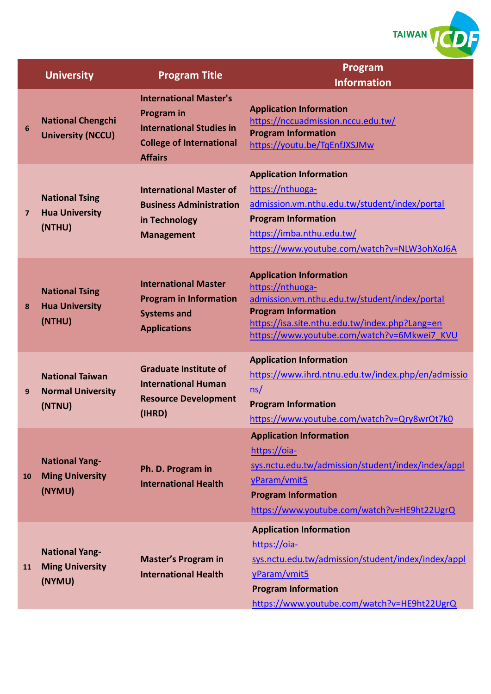

|           | <b>University</b>                                            | <b>Program Title</b>                                                                                                                       | Program<br><b>Information</b>                                                                                                                                                                                                      |
|-----------|--------------------------------------------------------------|--------------------------------------------------------------------------------------------------------------------------------------------|------------------------------------------------------------------------------------------------------------------------------------------------------------------------------------------------------------------------------------|
| 6         | <b>National Chengchi</b><br><b>University (NCCU)</b>         | <b>International Master's</b><br><b>Program</b> in<br><b>International Studies in</b><br><b>College of International</b><br><b>Affairs</b> | <b>Application Information</b><br>https://nccuadmission.nccu.edu.tw/<br><b>Program Information</b><br>https://youtu.be/TqEnfJXSJMw                                                                                                 |
| 7         | <b>National Tsing</b><br><b>Hua University</b><br>(NTHU)     | <b>International Master of</b><br><b>Business Administration</b><br>in Technology<br><b>Management</b>                                     | <b>Application Information</b><br>https://nthuoga-<br>admission.vm.nthu.edu.tw/student/index/portal<br><b>Program Information</b><br>https://imba.nthu.edu.tw/<br>https://www.youtube.com/watch?v=NLW3ohXoJ6A                      |
| 8         | <b>National Tsing</b><br><b>Hua University</b><br>(NTHU)     | <b>International Master</b><br><b>Program in Information</b><br><b>Systems and</b><br><b>Applications</b>                                  | <b>Application Information</b><br>https://nthuoga-<br>admission.vm.nthu.edu.tw/student/index/portal<br><b>Program Information</b><br>https://isa.site.nthu.edu.tw/index.php?Lang=en<br>https://www.youtube.com/watch?v=6Mkwei7 KVU |
| 9         | <b>National Taiwan</b><br><b>Normal University</b><br>(NTNU) | <b>Graduate Institute of</b><br><b>International Human</b><br><b>Resource Development</b><br>(IHRD)                                        | <b>Application Information</b><br>https://www.ihrd.ntnu.edu.tw/index.php/en/admissio<br>ns/<br><b>Program Information</b><br>https://www.youtube.com/watch?v=Qry8wrOt7k0                                                           |
| <b>10</b> | <b>National Yang-</b><br><b>Ming University</b><br>(NYMU)    | Ph. D. Program in<br><b>International Health</b>                                                                                           | <b>Application Information</b><br>https://oia-<br>sys.nctu.edu.tw/admission/student/index/index/appl<br>yParam/vmit5<br><b>Program Information</b><br>https://www.youtube.com/watch?v=HE9ht22UgrQ                                  |
| 11        | <b>National Yang-</b><br><b>Ming University</b><br>(NYMU)    | <b>Master's Program in</b><br><b>International Health</b>                                                                                  | <b>Application Information</b><br>https://oia-<br>sys.nctu.edu.tw/admission/student/index/index/appl<br>yParam/vmit5<br><b>Program Information</b><br>https://www.youtube.com/watch?v=HE9ht22UgrQ                                  |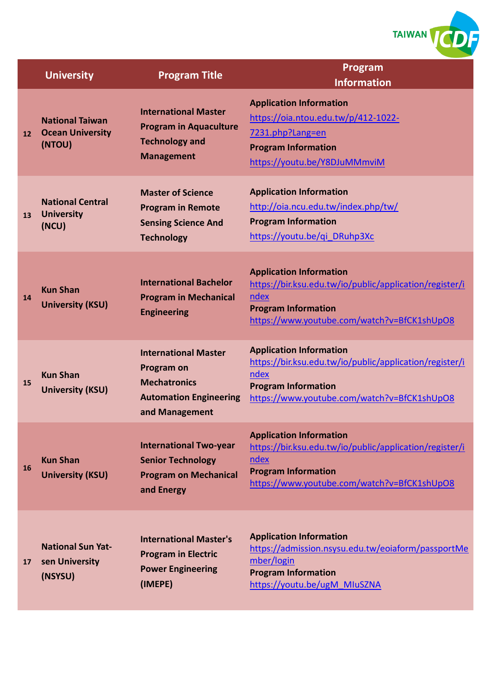

|           | <b>University</b>                                           | <b>Program Title</b>                                                                                                | Program<br><b>Information</b>                                                                                                                                                  |
|-----------|-------------------------------------------------------------|---------------------------------------------------------------------------------------------------------------------|--------------------------------------------------------------------------------------------------------------------------------------------------------------------------------|
| 12        | <b>National Taiwan</b><br><b>Ocean University</b><br>(NTOU) | <b>International Master</b><br><b>Program in Aquaculture</b><br><b>Technology and</b><br><b>Management</b>          | <b>Application Information</b><br>https://oia.ntou.edu.tw/p/412-1022-<br>7231.php?Lang=en<br><b>Program Information</b><br>https://youtu.be/Y8DJuMMmviM                        |
| 13        | <b>National Central</b><br><b>University</b><br>(NCU)       | <b>Master of Science</b><br><b>Program in Remote</b><br><b>Sensing Science And</b><br><b>Technology</b>             | <b>Application Information</b><br>http://oia.ncu.edu.tw/index.php/tw/<br><b>Program Information</b><br>https://youtu.be/qi DRuhp3Xc                                            |
| 14        | <b>Kun Shan</b><br><b>University (KSU)</b>                  | <b>International Bachelor</b><br><b>Program in Mechanical</b><br><b>Engineering</b>                                 | <b>Application Information</b><br>https://bir.ksu.edu.tw/io/public/application/register/i<br>ndex<br><b>Program Information</b><br>https://www.youtube.com/watch?v=BfCK1shUpO8 |
| 15        | <b>Kun Shan</b><br><b>University (KSU)</b>                  | <b>International Master</b><br>Program on<br><b>Mechatronics</b><br><b>Automation Engineering</b><br>and Management | <b>Application Information</b><br>https://bir.ksu.edu.tw/io/public/application/register/i<br>ndex<br><b>Program Information</b><br>https://www.youtube.com/watch?v=BfCK1shUpO8 |
| <b>16</b> | <b>Kun Shan</b><br><b>University (KSU)</b>                  | <b>International Two-year</b><br><b>Senior Technology</b><br><b>Program on Mechanical</b><br>and Energy             | <b>Application Information</b><br>https://bir.ksu.edu.tw/io/public/application/register/i<br>ndex<br><b>Program Information</b><br>https://www.youtube.com/watch?v=BfCK1shUpO8 |
| 17        | <b>National Sun Yat-</b><br>sen University<br>(NSYSU)       | <b>International Master's</b><br><b>Program in Electric</b><br><b>Power Engineering</b><br>(IMEPE)                  | <b>Application Information</b><br>https://admission.nsysu.edu.tw/eoiaform/passportMe<br>mber/login<br><b>Program Information</b><br>https://youtu.be/ugM MIuSZNA               |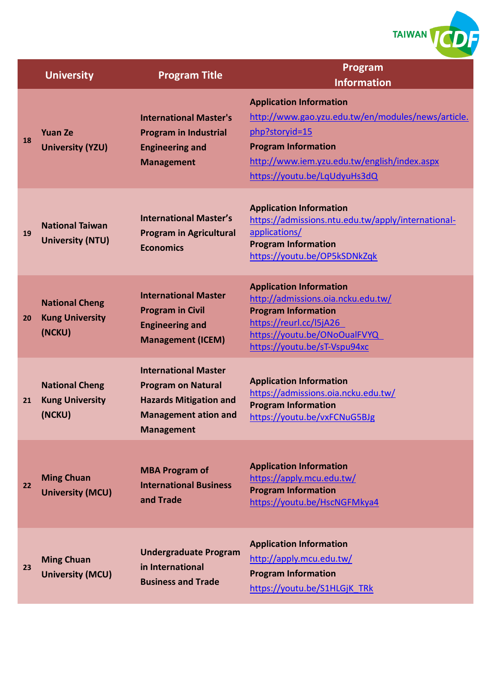

|    | <b>University</b>                                         | <b>Program Title</b>                                                                                                                          | Program<br><b>Information</b>                                                                                                                                                                                        |
|----|-----------------------------------------------------------|-----------------------------------------------------------------------------------------------------------------------------------------------|----------------------------------------------------------------------------------------------------------------------------------------------------------------------------------------------------------------------|
| 18 | <b>Yuan Ze</b><br><b>University (YZU)</b>                 | <b>International Master's</b><br><b>Program in Industrial</b><br><b>Engineering and</b><br><b>Management</b>                                  | <b>Application Information</b><br>http://www.gao.yzu.edu.tw/en/modules/news/article.<br>php?storyid=15<br><b>Program Information</b><br>http://www.iem.yzu.edu.tw/english/index.aspx<br>https://youtu.be/LqUdyuHs3dQ |
| 19 | <b>National Taiwan</b><br><b>University (NTU)</b>         | <b>International Master's</b><br><b>Program in Agricultural</b><br><b>Economics</b>                                                           | <b>Application Information</b><br>https://admissions.ntu.edu.tw/apply/international-<br>applications/<br><b>Program Information</b><br>https://youtu.be/OP5kSDNkZqk                                                  |
| 20 | <b>National Cheng</b><br><b>Kung University</b><br>(NCKU) | <b>International Master</b><br><b>Program in Civil</b><br><b>Engineering and</b><br><b>Management (ICEM)</b>                                  | <b>Application Information</b><br>http://admissions.oia.ncku.edu.tw/<br><b>Program Information</b><br>https://reurl.cc/l5jA26<br>https://youtu.be/ONoOualFVYQ<br>https://youtu.be/sT-Vspu94xc                        |
| 21 | <b>National Cheng</b><br><b>Kung University</b><br>(NCKU) | <b>International Master</b><br><b>Program on Natural</b><br><b>Hazards Mitigation and</b><br><b>Management ation and</b><br><b>Management</b> | <b>Application Information</b><br>https://admissions.oia.ncku.edu.tw/<br><b>Program Information</b><br>https://youtu.be/vxFCNuG5BJg                                                                                  |
| 22 | <b>Ming Chuan</b><br><b>University (MCU)</b>              | <b>MBA Program of</b><br><b>International Business</b><br>and Trade                                                                           | <b>Application Information</b><br>https://apply.mcu.edu.tw/<br><b>Program Information</b><br>https://youtu.be/HscNGFMkya4                                                                                            |
| 23 | <b>Ming Chuan</b><br><b>University (MCU)</b>              | <b>Undergraduate Program</b><br>in International<br><b>Business and Trade</b>                                                                 | <b>Application Information</b><br>http://apply.mcu.edu.tw/<br><b>Program Information</b><br>https://youtu.be/S1HLGjK TRk                                                                                             |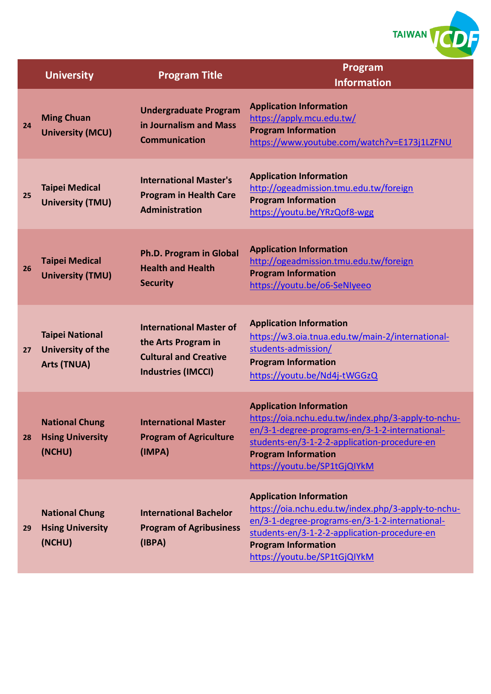

|    | <b>University</b>                                                 | <b>Program Title</b>                                                                                               | Program<br><b>Information</b>                                                                                                                                                                                                                        |
|----|-------------------------------------------------------------------|--------------------------------------------------------------------------------------------------------------------|------------------------------------------------------------------------------------------------------------------------------------------------------------------------------------------------------------------------------------------------------|
| 24 | <b>Ming Chuan</b><br><b>University (MCU)</b>                      | <b>Undergraduate Program</b><br>in Journalism and Mass<br><b>Communication</b>                                     | <b>Application Information</b><br>https://apply.mcu.edu.tw/<br><b>Program Information</b><br>https://www.youtube.com/watch?v=E173j1LZFNU                                                                                                             |
| 25 | <b>Taipei Medical</b><br><b>University (TMU)</b>                  | <b>International Master's</b><br><b>Program in Health Care</b><br><b>Administration</b>                            | <b>Application Information</b><br>http://ogeadmission.tmu.edu.tw/foreign<br><b>Program Information</b><br>https://youtu.be/YRzQof8-wgg                                                                                                               |
| 26 | <b>Taipei Medical</b><br><b>University (TMU)</b>                  | <b>Ph.D. Program in Global</b><br><b>Health and Health</b><br><b>Security</b>                                      | <b>Application Information</b><br>http://ogeadmission.tmu.edu.tw/foreign<br><b>Program Information</b><br>https://youtu.be/o6-SeNIyeeo                                                                                                               |
| 27 | <b>Taipei National</b><br>University of the<br><b>Arts (TNUA)</b> | <b>International Master of</b><br>the Arts Program in<br><b>Cultural and Creative</b><br><b>Industries (IMCCI)</b> | <b>Application Information</b><br>https://w3.oia.tnua.edu.tw/main-2/international-<br>students-admission/<br><b>Program Information</b><br>https://youtu.be/Nd4j-tWGGzQ                                                                              |
| 28 | <b>National Chung</b><br><b>Hsing University</b><br>(NCHU)        | <b>International Master</b><br><b>Program of Agriculture</b><br>(IMPA)                                             | <b>Application Information</b><br>https://oia.nchu.edu.tw/index.php/3-apply-to-nchu-<br>en/3-1-degree-programs-en/3-1-2-international-<br>students-en/3-1-2-2-application-procedure-en<br><b>Program Information</b><br>https://youtu.be/SP1tGjQlYkM |
| 29 | <b>National Chung</b><br><b>Hsing University</b><br>(NCHU)        | <b>International Bachelor</b><br><b>Program of Agribusiness</b><br>(IBPA)                                          | <b>Application Information</b><br>https://oia.nchu.edu.tw/index.php/3-apply-to-nchu-<br>en/3-1-degree-programs-en/3-1-2-international-<br>students-en/3-1-2-2-application-procedure-en<br><b>Program Information</b><br>https://youtu.be/SP1tGjQlYkM |